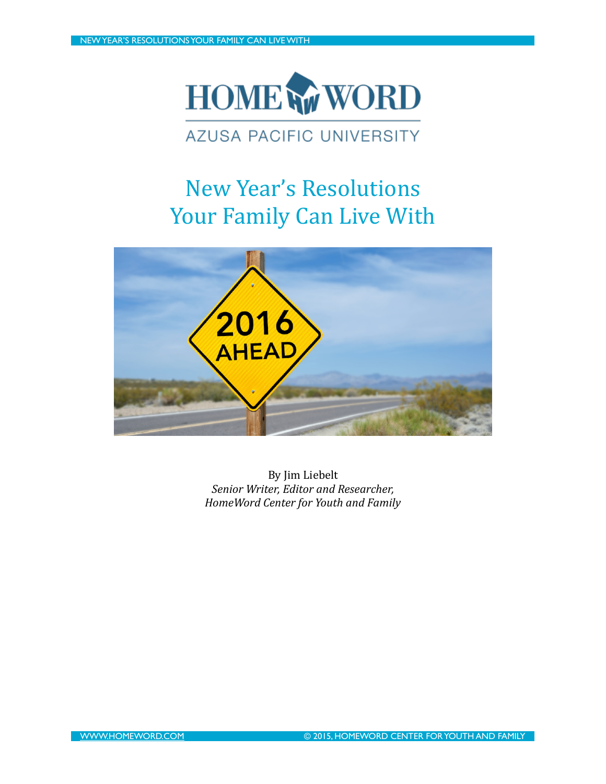

## **AZUSA PACIFIC UNIVERSITY**

## New Year's Resolutions Your Family Can Live With



By Jim Liebelt *Senior Writer, Editor and Researcher, HomeWord Center for Youth and Family*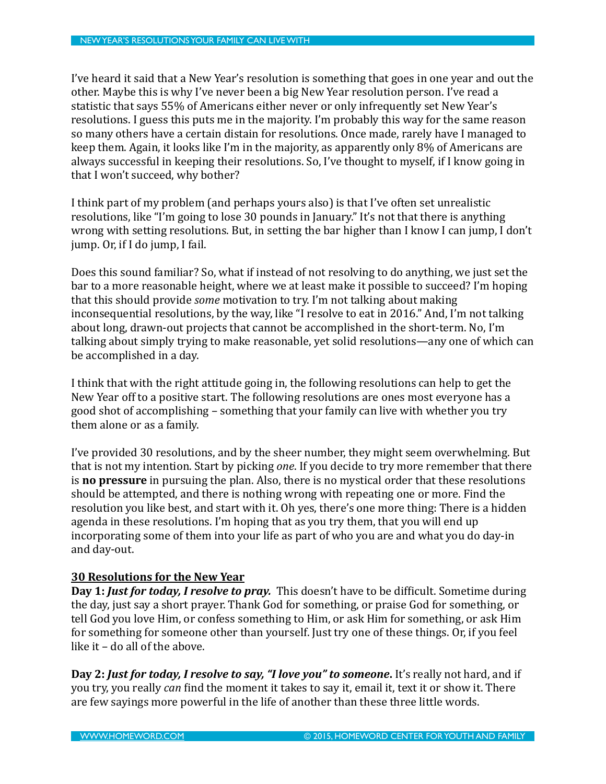I've heard it said that a New Year's resolution is something that goes in one year and out the other. Maybe this is why I've never been a big New Year resolution person. I've read a statistic that says 55% of Americans either never or only infrequently set New Year's resolutions. I guess this puts me in the majority. I'm probably this way for the same reason so many others have a certain distain for resolutions. Once made, rarely have I managed to keep them. Again, it looks like I'm in the majority, as apparently only 8% of Americans are always successful in keeping their resolutions. So, I've thought to myself, if I know going in that I won't succeed, why bother?

I think part of my problem (and perhaps yours also) is that I've often set unrealistic resolutions, like "I'm going to lose 30 pounds in January." It's not that there is anything wrong with setting resolutions. But, in setting the bar higher than I know I can jump, I don't jump. Or, if I do jump, I fail.

Does this sound familiar? So, what if instead of not resolving to do anything, we just set the bar to a more reasonable height, where we at least make it possible to succeed? I'm hoping that this should provide *some* motivation to try. I'm not talking about making inconsequential resolutions, by the way, like "I resolve to eat in 2016." And, I'm not talking about long, drawn-out projects that cannot be accomplished in the short-term. No, I'm talking about simply trying to make reasonable, yet solid resolutions—any one of which can be accomplished in a day.

I think that with the right attitude going in, the following resolutions can help to get the New Year off to a positive start. The following resolutions are ones most everyone has a good shot of accomplishing – something that your family can live with whether you try them alone or as a family.

I've provided 30 resolutions, and by the sheer number, they might seem overwhelming. But that is not my intention. Start by picking *one*. If you decide to try more remember that there **is no pressure** in pursuing the plan. Also, there is no mystical order that these resolutions should be attempted, and there is nothing wrong with repeating one or more. Find the resolution you like best, and start with it. Oh yes, there's one more thing: There is a hidden agenda in these resolutions. I'm hoping that as you try them, that you will end up incorporating some of them into your life as part of who you are and what you do day-in and day-out.

## **30 Resolutions for the New Year**

**Day 1:** *Just for today, I resolve to pray.* This doesn't have to be difficult. Sometime during the day, just say a short prayer. Thank God for something, or praise God for something, or tell God you love Him, or confess something to Him, or ask Him for something, or ask Him for something for someone other than yourself. Just try one of these things. Or, if you feel like it  $-$  do all of the above.

Day 2: Just for today, I resolve to say, "I love you" to someone. It's really not hard, and if you try, you really *can* find the moment it takes to say it, email it, text it or show it. There are few sayings more powerful in the life of another than these three little words.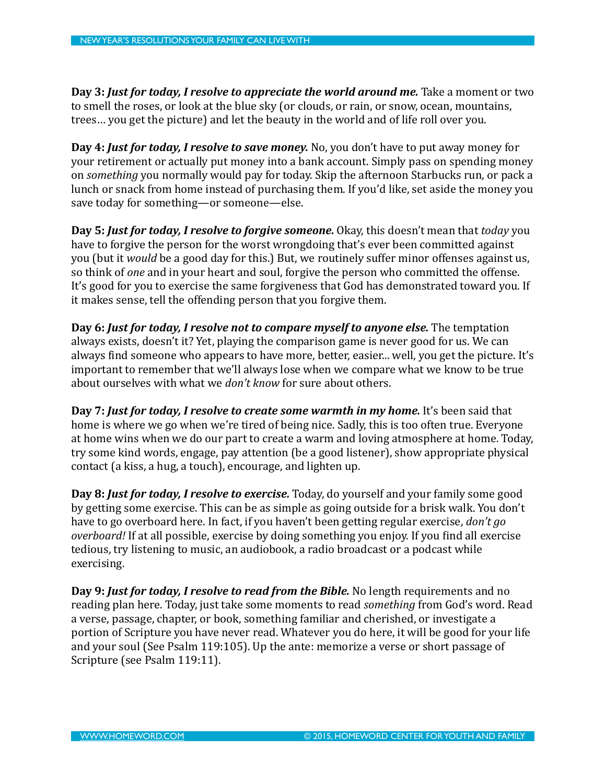**Day 3: Just for today, I resolve to appreciate the world around me.** Take a moment or two to smell the roses, or look at the blue sky (or clouds, or rain, or snow, ocean, mountains, trees... you get the picture) and let the beauty in the world and of life roll over you.

**Day 4:** *Just for today, I resolve to save money***.** No, you don't have to put away money for your retirement or actually put money into a bank account. Simply pass on spending money on *something* you normally would pay for today. Skip the afternoon Starbucks run, or pack a lunch or snack from home instead of purchasing them. If you'd like, set aside the money you save today for something—or someone—else.

**Day 5:** *Just for today, I resolve to forgive someone.* Okay, this doesn't mean that *today* you have to forgive the person for the worst wrongdoing that's ever been committed against you (but it *would* be a good day for this.) But, we routinely suffer minor offenses against us, so think of *one* and in your heart and soul, forgive the person who committed the offense. It's good for you to exercise the same forgiveness that God has demonstrated toward you. If it makes sense, tell the offending person that you forgive them.

**Day 6:** *Just for today, I resolve not to compare myself to anyone else.* The temptation always exists, doesn't it? Yet, playing the comparison game is never good for us. We can always find someone who appears to have more, better, easier... well, you get the picture. It's important to remember that we'll always lose when we compare what we know to be true about ourselves with what we *don't know* for sure about others.

**Day 7:** *Just for today, I resolve to create some warmth in my home.* It's been said that home is where we go when we're tired of being nice. Sadly, this is too often true. Everyone at home wins when we do our part to create a warm and loving atmosphere at home. Today, try some kind words, engage, pay attention (be a good listener), show appropriate physical contact (a kiss, a hug, a touch), encourage, and lighten up.

**Day 8:** *Just for today, I resolve to exercise.* Today, do yourself and your family some good by getting some exercise. This can be as simple as going outside for a brisk walk. You don't have to go overboard here. In fact, if you haven't been getting regular exercise, *don't go overboard!* If at all possible, exercise by doing something you enjoy. If you find all exercise tedious, try listening to music, an audiobook, a radio broadcast or a podcast while exercising. 

**Day 9:** *Just for today, I resolve to read from the Bible.* No length requirements and no reading plan here. Today, just take some moments to read *something* from God's word. Read a verse, passage, chapter, or book, something familiar and cherished, or investigate a portion of Scripture you have never read. Whatever you do here, it will be good for your life and your soul (See Psalm 119:105). Up the ante: memorize a verse or short passage of Scripture (see Psalm 119:11).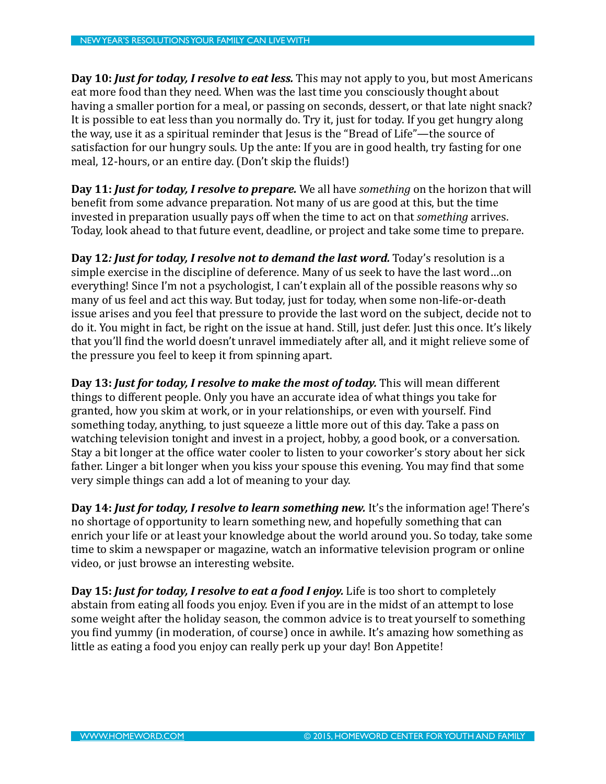**Day 10: Just for today, I resolve to eat less.** This may not apply to you, but most Americans eat more food than they need. When was the last time you consciously thought about having a smaller portion for a meal, or passing on seconds, dessert, or that late night snack? It is possible to eat less than you normally do. Try it, just for today. If you get hungry along the way, use it as a spiritual reminder that Jesus is the "Bread of Life"—the source of satisfaction for our hungry souls. Up the ante: If you are in good health, try fasting for one meal, 12-hours, or an entire day. (Don't skip the fluids!)

**Day 11:** *Just for today, I resolve to prepare.* We all have *something* on the horizon that will benefit from some advance preparation. Not many of us are good at this, but the time invested in preparation usually pays off when the time to act on that *something* arrives. Today, look ahead to that future event, deadline, or project and take some time to prepare.

**Day 12***:* Just for today, I resolve not to demand the last word. Today's resolution is a simple exercise in the discipline of deference. Many of us seek to have the last word...on everything! Since I'm not a psychologist, I can't explain all of the possible reasons why so many of us feel and act this way. But today, just for today, when some non-life-or-death issue arises and you feel that pressure to provide the last word on the subject, decide not to do it. You might in fact, be right on the issue at hand. Still, just defer. Just this once. It's likely that you'll find the world doesn't unravel immediately after all, and it might relieve some of the pressure you feel to keep it from spinning apart.

**Day 13: Just for today, I resolve to make the most of today.** This will mean different things to different people. Only you have an accurate idea of what things you take for granted, how you skim at work, or in your relationships, or even with yourself. Find something today, anything, to just squeeze a little more out of this day. Take a pass on watching television tonight and invest in a project, hobby, a good book, or a conversation. Stay a bit longer at the office water cooler to listen to your coworker's story about her sick father. Linger a bit longer when you kiss your spouse this evening. You may find that some very simple things can add a lot of meaning to your day.

**Day 14: Just for today, I resolve to learn something new.** It's the information age! There's no shortage of opportunity to learn something new, and hopefully something that can enrich your life or at least your knowledge about the world around you. So today, take some time to skim a newspaper or magazine, watch an informative television program or online video, or just browse an interesting website.

**Day 15:** *Just for today, I resolve to eat a food I enjoy.* Life is too short to completely abstain from eating all foods you enjoy. Even if you are in the midst of an attempt to lose some weight after the holiday season, the common advice is to treat yourself to something you find yummy (in moderation, of course) once in awhile. It's amazing how something as little as eating a food you enjoy can really perk up your day! Bon Appetite!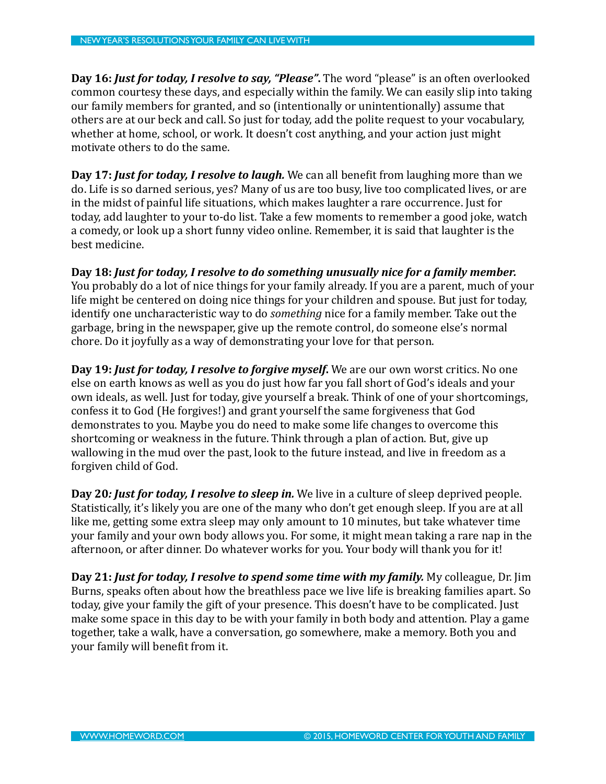**Day 16: Just for today, I resolve to say, "Please".** The word "please" is an often overlooked common courtesy these days, and especially within the family. We can easily slip into taking our family members for granted, and so (intentionally or unintentionally) assume that others are at our beck and call. So just for today, add the polite request to your vocabulary, whether at home, school, or work. It doesn't cost anything, and your action just might motivate others to do the same.

**Day 17:** *Just for today, I resolve to laugh.* We can all benefit from laughing more than we do. Life is so darned serious, yes? Many of us are too busy, live too complicated lives, or are in the midst of painful life situations, which makes laughter a rare occurrence. Just for today, add laughter to your to-do list. Take a few moments to remember a good joke, watch a comedy, or look up a short funny video online. Remember, it is said that laughter is the best medicine.

Day 18: Just for today, I resolve to do something unusually nice for a family member. You probably do a lot of nice things for your family already. If you are a parent, much of your life might be centered on doing nice things for your children and spouse. But just for today, identify one uncharacteristic way to do *something* nice for a family member. Take out the garbage, bring in the newspaper, give up the remote control, do someone else's normal chore. Do it joyfully as a way of demonstrating your love for that person.

**Day 19: Just for today, I resolve to forgive myself.** We are our own worst critics. No one else on earth knows as well as you do just how far you fall short of God's ideals and your own ideals, as well. Just for today, give yourself a break. Think of one of your shortcomings, confess it to God (He forgives!) and grant yourself the same forgiveness that God demonstrates to you. Maybe you do need to make some life changes to overcome this shortcoming or weakness in the future. Think through a plan of action. But, give up wallowing in the mud over the past, look to the future instead, and live in freedom as a forgiven child of God.

**Day 20***:* **Just for today, I resolve to sleep in.** We live in a culture of sleep deprived people. Statistically, it's likely you are one of the many who don't get enough sleep. If you are at all like me, getting some extra sleep may only amount to 10 minutes, but take whatever time your family and your own body allows you. For some, it might mean taking a rare nap in the afternoon, or after dinner. Do whatever works for you. Your body will thank you for it!

**Day 21: Just for today, I resolve to spend some time with my family.** My colleague, Dr. Jim Burns, speaks often about how the breathless pace we live life is breaking families apart. So today, give your family the gift of your presence. This doesn't have to be complicated. Just make some space in this day to be with your family in both body and attention. Play a game together, take a walk, have a conversation, go somewhere, make a memory. Both you and your family will benefit from it.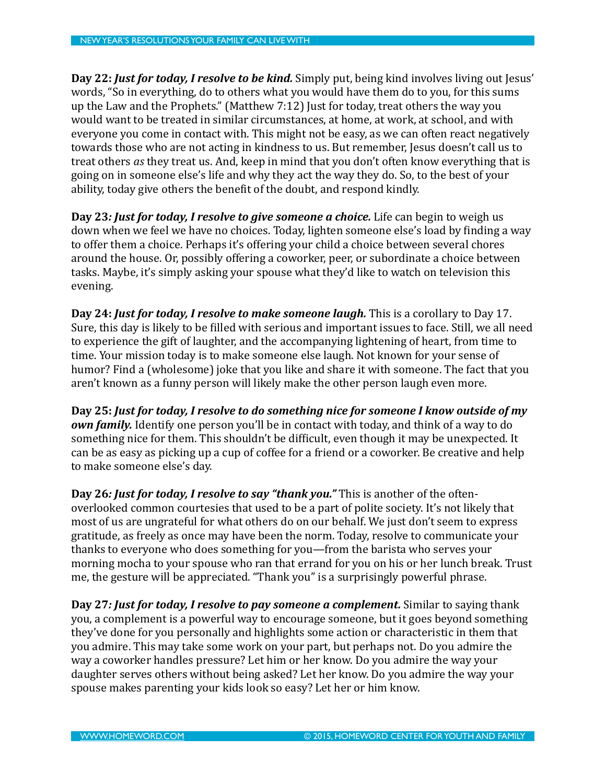**Day 22: Just for today, I resolve to be kind.** Simply put, being kind involves living out Jesus' words, "So in everything, do to others what you would have them do to you, for this sums up the Law and the Prophets." (Matthew  $7:12$ ) Just for today, treat others the way you would want to be treated in similar circumstances, at home, at work, at school, and with everyone you come in contact with. This might not be easy, as we can often react negatively towards those who are not acting in kindness to us. But remember, Jesus doesn't call us to treat others *as* they treat us. And, keep in mind that you don't often know everything that is going on in someone else's life and why they act the way they do. So, to the best of your ability, today give others the benefit of the doubt, and respond kindly.

**Day 23***: Just for today, I resolve to give someone a choice.* **Life can begin to weigh us** down when we feel we have no choices. Today, lighten someone else's load by finding a way to offer them a choice. Perhaps it's offering your child a choice between several chores around the house. Or, possibly offering a coworker, peer, or subordinate a choice between tasks. Maybe, it's simply asking your spouse what they'd like to watch on television this evening. 

**Day 24: Just for today, I resolve to make someone laugh.** This is a corollary to Day 17. Sure, this day is likely to be filled with serious and important issues to face. Still, we all need to experience the gift of laughter, and the accompanying lightening of heart, from time to time. Your mission today is to make someone else laugh. Not known for your sense of humor? Find a (wholesome) joke that you like and share it with someone. The fact that you aren't known as a funny person will likely make the other person laugh even more.

Day 25: Just for today, I resolve to do something nice for someone I know outside of my *own family.* Identify one person you'll be in contact with today, and think of a way to do something nice for them. This shouldn't be difficult, even though it may be unexpected. It can be as easy as picking up a cup of coffee for a friend or a coworker. Be creative and help to make someone else's day.

**Day 26***:* Just for today, I resolve to say "thank you." This is another of the oftenoverlooked common courtesies that used to be a part of polite society. It's not likely that most of us are ungrateful for what others do on our behalf. We just don't seem to express gratitude, as freely as once may have been the norm. Today, resolve to communicate your thanks to everyone who does something for you—from the barista who serves your morning mocha to your spouse who ran that errand for you on his or her lunch break. Trust me, the gesture will be appreciated. "Thank you" is a surprisingly powerful phrase.

**Day 27***:* Just for today, I resolve to pay someone a complement. Similar to saying thank you, a complement is a powerful way to encourage someone, but it goes beyond something they've done for you personally and highlights some action or characteristic in them that you admire. This may take some work on your part, but perhaps not. Do you admire the way a coworker handles pressure? Let him or her know. Do you admire the way your daughter serves others without being asked? Let her know. Do you admire the way your spouse makes parenting your kids look so easy? Let her or him know.